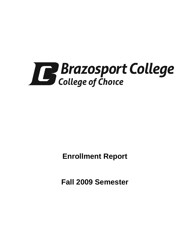

**Enrollment Report** 

**Fall 2009 Semester**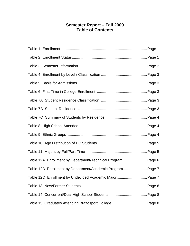# **Semester Report – Fall 2009 Table of Contents**

| Table 12A Enrollment by Department/Technical Program  Page 6 |  |
|--------------------------------------------------------------|--|
| Table 12B Enrollment by Department/Academic Program Page 7   |  |
| Table 12C Enrollment by Undecided Academic Major Page 7      |  |
|                                                              |  |
|                                                              |  |
|                                                              |  |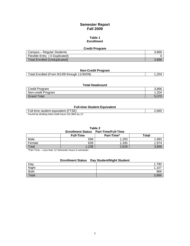# **Semester Report Fall 2009**

### **Table 1 Enrollment**

| <b>Credit Program</b>         |       |  |
|-------------------------------|-------|--|
| Campus – Regular Students     | 3.866 |  |
| Flexible Entry (0 Duplicated) |       |  |
| Total Enrolled (Unduplicated) | 3.866 |  |

# **Non-Credit Program**

| Total Enrolled (From 9/1/09 through 11/30/09) |  |
|-----------------------------------------------|--|
|                                               |  |

# **Total Headcount**

| Credit Program     | 3.866 |
|--------------------|-------|
| Non-credit Program | 204   |
| <b>Grand Total</b> |       |

### **Full-time Student Equivalent**

Full-time student equivalent (FTSE) 2,665

Found by dividing total credit hours (31,984) by 12

| Table 2 |                  |                                              |       |  |
|---------|------------------|----------------------------------------------|-------|--|
|         |                  | <b>Enrollment Status Part-Time/Full-Time</b> |       |  |
|         | <b>Full-Time</b> | Part-Time*                                   | Total |  |
| Male    | 599              | 1.293                                        | .892  |  |
| Female  | 639              | 1,335                                        | 1.974 |  |

Total 1,238 2,628 3,866 2,628 3,866 \*Part-Time – Less than 12 Semester hours in semester.

# **Enrollment Status Day Student/Night Student**

| Day         | ,790         |
|-------------|--------------|
| Night       | 107<br>1 U I |
| <b>Both</b> | 969          |
| Total       | 3,866        |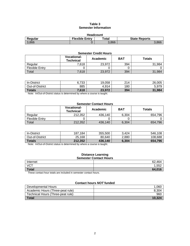# **Table 3 Semester Information**

| <b>Headcount</b>                                                             |  |       |       |  |
|------------------------------------------------------------------------------|--|-------|-------|--|
| <b>Flexible Entry</b><br>$\mathsf{Total}$<br><b>State Reports</b><br>Regular |  |       |       |  |
| 3.866                                                                        |  | 3.866 | 3.866 |  |

| <b>Semester Credit Hours</b> |                                        |          |            |               |
|------------------------------|----------------------------------------|----------|------------|---------------|
|                              | <b>Vocational-</b><br><b>Technical</b> | Academic | <b>BAT</b> | <b>Totals</b> |
| Regular                      | 7,618                                  | 23,972   | 394        | 31.984        |
| <b>Flexible Entry</b>        |                                        |          |            |               |
| Total                        | 7,618                                  | 23,972   | 394        | -984          |

| In-District     | ,733<br>6. | 19,058 | 214 | 26,005 |
|-----------------|------------|--------|-----|--------|
| Out-of-District | 885        | 4,914  | 180 | 5.979  |
| <b>Totals</b>   | 7,618      | 23,972 | 394 | 31,984 |

Note: In/Out-of-District status is determined by where a course is taught.

# **Semester Contact Hours**

|                       | <b>Vocational-</b><br><b>Technical</b> | Academic | <b>BAT</b> | <b>Totals</b> |
|-----------------------|----------------------------------------|----------|------------|---------------|
| Regular               | 212.352                                | 436.140  | 6.304      | 654.796       |
| <b>Flexible Entry</b> |                                        |          |            |               |
| Total                 | 212,352                                | 436.140  | 6,304      | 654,796       |

| <b>In-District</b>     | 187.184 | 355,500 | .424<br>ົ | 546.108 |
|------------------------|---------|---------|-----------|---------|
| <b>Out-of-District</b> | 25,168  | 80.640  | 2,880     | 108,688 |
| <b>Totals</b>          | 212.352 | 436.140 | 6.304     | 654.796 |

Note: In/Out-of-District status is determined by where a course is taught.

#### **Distance Learning Semester Contact Hours**

| <b>SEINESIEI CONTACT HOMES</b>                           |             |  |
|----------------------------------------------------------|-------------|--|
| Internet                                                 | 464<br>62.  |  |
| <b>VCT</b>                                               | 1.552<br>ےں |  |
| Total                                                    | 64,016      |  |
| $-$<br>.<br>the control of the control of the control of |             |  |

These contact hour totals are included in semester contact hours.

# **Contact hours** *NOT* **funded**

| Developmental Hours               | 1,060  |
|-----------------------------------|--------|
| Academic Hours (Three-peat rule)  | 8.304  |
| Technical Hours (Three-peat rule) | 960    |
| <b>Total</b>                      | 10.324 |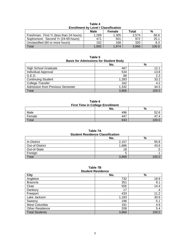| <b>Enfollment by Level / Glassification</b> |             |        |       |       |
|---------------------------------------------|-------------|--------|-------|-------|
|                                             | <b>Male</b> | Female | Total | %     |
| Freshman: First Yr (less than 24 hours)     | 1.269       | 1.305  | 2.574 | 66.6  |
| Sophomore: Second Yr (24-59 hours)          | 471         | 501    | 972   | 25.1  |
| Unclassified (60 or more hours)             | 152         | 168    | 320   | 8.3   |
| Total                                       | 1.892       | 1.974  | 3,866 | 100.0 |

**Table 4 Enrollment by Level / Classification** 

| Table 5                                      |  |  |  |
|----------------------------------------------|--|--|--|
| <b>Basis for Admissions for Student Body</b> |  |  |  |

|                                         | No.   | %            |
|-----------------------------------------|-------|--------------|
| <b>High School Graduate</b>             | 467   | 12.1         |
| Individual Approval                     | 534   | 13.8         |
| G.E.D.                                  | 88    | 2.3          |
| <b>Continuing Student</b>               | 1,283 | 33.2         |
| <b>College Transfer</b>                 | 162   | 4.2          |
| <b>Admission from Previous Semester</b> | 1,332 | 34.5         |
| Total                                   | 3,866 | 100 $\Omega$ |

**Table 6 First Time in College Enrollment No. %**  Male 496 52.6 Female 447 47.4 Total 943 100.0

**Table 7A Student Residence Classification** 

|                 | No.   | %     |
|-----------------|-------|-------|
| In-District     | 2,157 | 55.8  |
| Out-of-District | 1,686 | 43.6  |
| Out-of-State    | 18    |       |
| Foreign         |       |       |
| Total           | 3,866 | 100.0 |

### **Table 7B Student Residence**

| ,,,,,,,,,,,,,,,,,,,,,, |       |       |  |
|------------------------|-------|-------|--|
| <b>City</b>            | No.   | $\%$  |  |
| Angleton               | 732   | 18.9  |  |
| <b>Brazoria</b>        | 351   | 9.1   |  |
| Clute                  | 555   | 14.4  |  |
| Danbury                | 17    | .4    |  |
| Freeport               | 433   | 11.2  |  |
| Lake Jackson           | 1,183 | 30.6  |  |
| Sweeny                 | 196   | 5.1   |  |
| West Columbia          | 191   | 4.9   |  |
| <b>Other Residence</b> | 208   | 5.4   |  |
| <b>Total Students</b>  | 3,866 | 100.0 |  |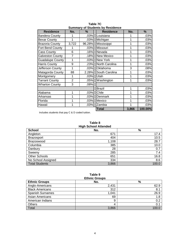| <b>Residence</b>        | No.            | %      | <b>Residence</b>  | No.   | %       |
|-------------------------|----------------|--------|-------------------|-------|---------|
| <b>Bandera County</b>   | 1              | .03%   | Louisiana         | 1     | .03%    |
| <b>Bexar County</b>     | 1              | .03%   | Michigan          | 1     | .03%    |
| <b>Brazoria County</b>  | 3,722          | 96.28% | Mississippi       | 1     | .03%    |
| Fort Bend County        |                | .03%   | Missouri          | 1     | .03%    |
| <b>Cass County</b>      | 6              | .16%   | Nevada            | 1     | .03%    |
| <b>Galveston County</b> | 7              | .18%   | <b>New Mexico</b> | 1     | .03%    |
| <b>Guadalupe County</b> | 1              | .03%   | New York          | 1     | .03%    |
| <b>Harris County</b>    | 9              | .23%   | North Carolina    | 1     | .03%    |
| Jefferson County        | 1              | .03%   | Oklahoma          | 3     | .08%    |
| Matagorda County        | 88             | 2.28%  | South Carolina    | 1     | .03%    |
| Montgomery              | 1              | .03%   | Utah              | 1     | .03%    |
| <b>Tarrant County</b>   | $\overline{2}$ | .05%   | Washington        | 1     | .03%    |
| <b>Wharton County</b>   | 3              | .08%   |                   |       |         |
|                         |                |        | <b>Brazil</b>     | 1     | .03%    |
| Alabama                 | 1              | .03%   | Chile             | 1     | .03%    |
| Arkansas                | 1              | .03%   | Denmark           | 1     | .03%    |
| Florida                 | 1              | .03%   | Mexico            | 1     | .03%    |
| Hawaii                  | 1              | .03%   | Zambia            | 1     | .03%    |
|                         |                |        | <b>Total</b>      | 3,866 | 100.00% |

**Table 7C Summary of Students by Residence** 

Includes students that pay C & D coded tuition.

### **Table 8 High School Attended**

| ----                  |       |       |  |  |
|-----------------------|-------|-------|--|--|
| <b>School</b>         | No.   | $\%$  |  |  |
| Angleton              | 671   | 17.4  |  |  |
| <b>Brazosport</b>     | 404   | 10.5  |  |  |
| <b>Brazoswood</b>     | 1,108 | 28.7  |  |  |
| Columbia              | 385   | 10.0  |  |  |
| Danbury               | 28    | 0.7   |  |  |
| Sweeny                | 285   | 7.4   |  |  |
| Other Schools         | 651   | 16.8  |  |  |
| No School Assigned    | 334   | 8.6   |  |  |
| <b>Total Students</b> | 3,866 | 100.0 |  |  |

#### **Table 9 Ethnic Groups**

| <b>Ethnic Groups</b>    |       |       |  |  |
|-------------------------|-------|-------|--|--|
| <b>Ethnic Groups</b>    | No.   | $\%$  |  |  |
| Anglo-Americans         | 2,431 | 62.9  |  |  |
| <b>Black Americans</b>  | 312   | 8.1   |  |  |
| <b>Spanish Surnames</b> | 1,041 | 26.9  |  |  |
| Asian Americans         | 69    | 1.8   |  |  |
| American Indians        | 9     | 0.2   |  |  |
| Others                  | 4     | 0.1   |  |  |
| Total                   | 3,866 | 100.0 |  |  |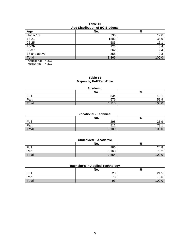# **Table 10 Age Distribution of BC Students**

| ◡<br>Age     | No.   | %    |
|--------------|-------|------|
| Under 18     | 736   | 19.0 |
| $18 - 21$    | 1502  | 38.9 |
| $22 - 25$    | 585   | 15.1 |
| 26-29        | 323   | 8.4  |
| $30 - 37$    | 362   | 9.4  |
| 38 and above | 358   | 9.3  |
| Total        | 3,866 | 100  |

Average Age = 23.8

Median Age  $= 20.0$ 

# **Table 11 Majors by Full/Part-Time**

| Academic |       |           |  |
|----------|-------|-----------|--|
|          | No.   | $\%$      |  |
| Full     | 534   | 48.       |  |
| Part     | 576   | 51.9<br>Q |  |
| Total    | 1,110 | 100       |  |

### **Vocational - Technical**

|       | No.  | %                        |
|-------|------|--------------------------|
| Full  | 298  | 26.9                     |
| Part  | 811  | 70 <sub>4</sub><br>ا . ت |
| Total | ,109 | 100 <sub>c</sub>         |

| Undecided - Academic |     |          |  |
|----------------------|-----|----------|--|
|                      | No. | O.<br>70 |  |
| Full                 | 386 | 24.8     |  |

Part 2, 2008 1,168  $\vert$  2, 2008 1,168  $\vert$  2, 2008 1,168  $\vert$  2, 2008 1,168  $\vert$  2, 2008 1,168  $\vert$  2, 2008 1,168  $\vert$  2, 2008 1,168  $\vert$  2, 2008 1,168  $\vert$  2, 2008 1,168  $\vert$  2, 2008 1,168  $\vert$  2, 2008 1,168  $\vert$  2, 2008 Total 100.0  $\,$  1,554  $\,$  100.0  $\,$ 

# **Bachelor's in Applied Technology**

|       | No.            | ັ<br>$\mathbf{0}$<br>70 |
|-------|----------------|-------------------------|
| Full  | $\Omega$<br>∠∪ | $\Omega$<br>-<br>41.O   |
| Part  | 70<br>د ،      | 78.5                    |
| Total | 93             | 100 $r$                 |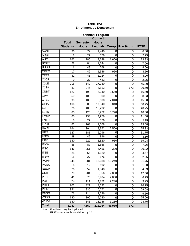| Table 12A |  |                                 |  |  |
|-----------|--|---------------------------------|--|--|
|           |  | <b>Enrollment by Department</b> |  |  |

| <b>Technical Program</b> |                 |                 |                |        |                  |             |
|--------------------------|-----------------|-----------------|----------------|--------|------------------|-------------|
|                          |                 |                 | <b>Contact</b> |        |                  |             |
|                          | <b>Total</b>    | <b>Semester</b> | <b>Hours</b>   |        |                  |             |
|                          | <b>Students</b> | <b>Hours</b>    | Lec/Lab        | Co-op  | <b>Practicum</b> | <b>FTSE</b> |
| <b>ACNT</b>              | 36              | 72              | 1,440          | 0      | 0                | 6.00        |
| <b>ARCE</b>              | 18              | 27              | 576            | 0      | 0                | 2.25        |
| <b>AUMT</b>              | 162             | 280             | 9,248          | 1,600  | 0                | 23.33       |
| <b>BMGT</b>              | 28              | 84              | 1,344          | 0      | 0                | 7.00        |
| <b>BUSG</b>              | 16              | 48              | 768            | 0      | 0                | 4.00        |
| <b>CDEC</b>              | 17              | 42              | 1,536          | 960    | 0                | 3.50        |
| <b>CETT</b>              | 32              | 48              | 1,024          | 0      | 0                | 4.00        |
| <b>CJCR</b>              | 9               | 27              | 432            | 0      | 0                | 2.25        |
| <b>CJLE</b>              | 216             | 540             | 17,280         | 0      | 0                | 45.00       |
| <b>CJSA</b>              | 82              | 246             | 4,512          | 0      | 672              | 20.50       |
| <b>CNBT</b>              | 122             | 198             | 6,240          | 2,560  | 0                | 16.50       |
| <b>CPMT</b>              | 50              | 100             | 2,000          | 0      | 0                | 8.33        |
| <b>CTEC</b>              | 90              | 180             | 9,600          | 7,040  | 0                | 15.00       |
| <b>DFTG</b>              | 406             | 609             | 17,040         | 3,840  | 0                | 50.75       |
| <b>ELPT</b>              | 326             | 489             | 10,432         | 0      | 0                | 40.75       |
| <b>ELTN</b>              | 80              | 120             | 8,272          | 6,720  | 0                | 10.00       |
| <b>EMSP</b>              | 65              | 133             | 4,976          | 0      | 0                | 11.08       |
| <b>ENTC</b>              | 18              | 27              | 576            | 0      | 0                | 2.25        |
| <b>EPCT</b>              | 63              | 163             | 2,608          | 0      | 0                | 13.58       |
| <b>HART</b>              | 164             | 304             | 8,352          | 2,560  | 0                | 25.33       |
| $\overline{HIT}$         | 127             | 381             | 6,096          | 0      | 0                | 31.75       |
| <b>IMED</b>              | 28              | 42              | 896            | 0      | 0                | 3.50        |
| <b>INTC</b>              | 130             | 229             | 5,520          | 960    | 0                | 19.08       |
| <b>ITNW</b>              | 58              | 87              | 1,856          | 0      | 0                | 7.25        |
| <b>ITSC</b>              | 146             | 251             | 5,456          | 320    | 0                | 20.92       |
| <b>ITSE</b>              | 28              | 56              | 1,120          | 0      | 0                | 4.67        |
| <b>ITSW</b>              | 18              | 27              | 576            | 0      | 0                | 2.25        |
| <b>MCHN</b>              | 245             | 381             | 16,688         | 10,240 | 0                | 31.75       |
| <b>MUSC</b>              | 6               | 12              | 192            | 0      | 0                | 1.00        |
| <b>NUCP</b>              | 26              | 52              | 1,040          | 0      | 0                | 4.33        |
| OSHT                     | 70              | 204             | 5,856          | 2,880  | 0                | 17.00       |
| <b>PFPB</b>              | 41              | 75              | 3,904          | 2,880  | 0                | 6.25        |
| <b>POFI</b>              | 74              | 111             | 4,752          | 2,240  | 0                | 9.25        |
| <b>POFT</b>              | 203             | 321             | 7,632          | 0      | 0                | 26.75       |
| <b>PTAC</b>              | 351             | 835             | 16,272         | 0      | 0                | 69.58       |
| <b>RNSG</b>              | 76              | 114             | 2,736          | 0      | 0                | 9.50        |
| <b>VNSG</b>              | 180             | 300             | 9,280          | 0      | 0                | 25.00       |
| <b>WLDG</b>              | 180             | 345             | 13,936         | 1,280  | $\overline{0}$   | 28.75       |
| Total                    | 3,987           | 7,560           | 212,064        | 46,080 | 672              |             |

Note: Enrollment may be duplicated.

FTSE = semester hours divided by 12.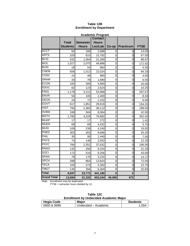| Table 12B                       |  |  |  |
|---------------------------------|--|--|--|
| <b>Enrollment by Department</b> |  |  |  |

| <b>Academic Program</b> |                 |                 |                |          |                  |             |
|-------------------------|-----------------|-----------------|----------------|----------|------------------|-------------|
|                         |                 |                 | <b>Contact</b> |          |                  |             |
|                         | <b>Total</b>    | <b>Semester</b> | <b>Hours</b>   |          |                  |             |
|                         | <b>Students</b> | <b>Hours</b>    | Lec/Lab        | Co-op    | <b>Practicum</b> | <b>FTSE</b> |
| <b>ACCT</b>             | 84              | 168             | 2,688          | 0        | 0                | 14.00       |
| <b>ARTS</b>             | 329             | 810             | 15,792         | 0        | 0                | 67.50       |
| <b>BCIS</b>             | 532             | 1,064           | 21,280         | 0        | 0                | 88.67       |
| <b>BIOL</b>             | 1,027           | 2,075           | 49,888         | 0        | 0                | 172.92      |
| <b>BUSI</b>             | 18              | 54              | 864            | 0        | 0                | 4.50        |
| <b>CHEM</b>             | 506             | 1,012           | 23,024         | 0        | 0                | 84.33       |
| <b>COSC</b>             | 24              | 48              | 960            | 0        | 0                | 4.00        |
| <b>DRAM</b>             | 33              | 78              | 1,680          | 0        | 0                | 6.50        |
| <b>ECON</b>             | 100             | 300             | 4,800          | 0        | 0                | 25.00       |
| <b>EDUC</b>             | 82              | 123             | 2,624          | 0        | 0                | 10.25       |
| <b>ENGL</b>             | 1,178           | 3,212           | 53,968         | 0        | 0                | 267.67      |
| <b>ENVR</b>             | 50              | 100             | 2,400          | 0        | 0                | 8.33        |
| <b>GEOG</b>             | 24              | 72              | 1,152          | 0        | 0                | 6.00        |
| GOVT                    | 617             | 1,851           | 29,616         | 0        | 0                | 154.25      |
| <b>HIST</b>             | 794             | 2,382           | 38,112         | 0        | 0                | 198.50      |
| <b>HUMA</b>             | 168             | 504             | 8,064          | 0        | 0                | 42.00       |
| <b>MATH</b>             | 1,780           | 4,229           | 76,892         | 0        | 0                | 352.42      |
| <b>MUAP</b>             | 17              | 17              | 272            | 0        | 0                | 1.42        |
| <b>MUEN</b>             | 69              | 69              | 4,432          | 0        | 0                | 5.75        |
| <b>MUSI</b>             | 109             | 239             | 4,240          | 0        | 0                | 19.92       |
| PHED                    | 303             | 303             | 9,696          | 0        | 0                | 25.25       |
| PHIL                    | 30              | 90              | 1,440          | 0        | 0                | 7.50        |
| <b>PHYS</b>             | 74              | 148             | 3,552          | 0        | 0                | 12.33       |
| <b>PSYC</b>             | 784             | 2,352           | 37,632         | 0        | 0                | 196.00      |
| <b>RNSG</b>             | 132             | 256             | 9,104          | 0        | 0                | 21.33       |
| <b>SOCI</b>             | 172             | 516             | 8,256          | 0        | 0                | 43.00       |
| <b>SPAN</b>             | 78              | 170             | 3,232          | 0        | $\overline{0}$   | 14.17       |
| <b>SPCH</b>             | 288             | 864             | 13,824         | 0        | 0                | 72.00       |
| <b>TECA</b>             | 155             | 273             | 5,392          | 0        | $\mathbf 0$      | 22.75       |
| <b>TMGT</b>             | 140             | 394             | 6,304          | 0        | 0                | 32.83       |
| <b>Total</b>            | 9,697           | 23,773          | 441,180        | $\bf{0}$ | $\bf{0}$         |             |
| <b>Grand Total</b>      | 13,684          | 31,333          | 653,244        | 46,080   | 672              |             |

Note: Enrollment may be duplicated.

FTSE = semester hours divided by 12.

| Table 12C                                     |  |
|-----------------------------------------------|--|
| <b>Enrollment by Undecided Academic Major</b> |  |
|                                               |  |

| <b>Hegis Code</b> | <b>Major</b>         | <b>Students</b> |
|-------------------|----------------------|-----------------|
| 6950 & 9996       | Undecided – Academic | .554            |